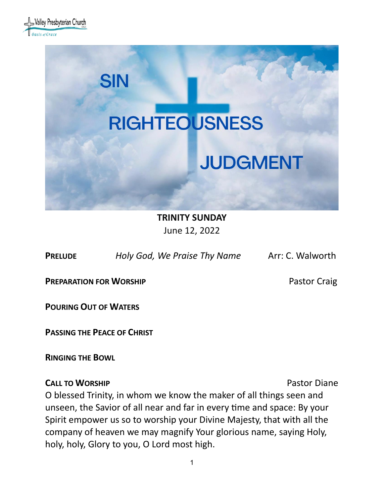



**TRINITY SUNDAY**

June 12, 2022

**PRELUDE** *Holy God, We Praise Thy Name* Arr: C. Walworth

**PREPARATION FOR WORSHIP <b>PREPARATION** FOR WORSHIP

**POURING OUT OF WATERS**

**PASSING THE PEACE OF CHRIST**

**RINGING THE BOWL** 

### **CALL TO WORSHIP CALL TO WORSHIP**

O blessed Trinity, in whom we know the maker of all things seen and unseen, the Savior of all near and far in every time and space: By your Spirit empower us so to worship your Divine Majesty, that with all the company of heaven we may magnify Your glorious name, saying Holy, holy, holy, Glory to you, O Lord most high.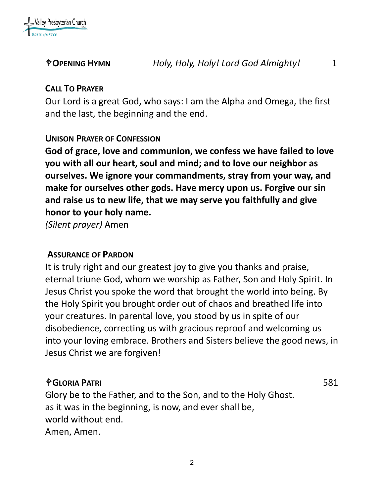

## **CALL TO PRAYER**

Our Lord is a great God, who says: I am the Alpha and Omega, the first and the last, the beginning and the end.

### **UNISON PRAYER OF CONFESSION**

**God of grace, love and communion, we confess we have failed to love you with all our heart, soul and mind; and to love our neighbor as ourselves. We ignore your commandments, stray from your way, and make for ourselves other gods. Have mercy upon us. Forgive our sin and raise us to new life, that we may serve you faithfully and give honor to your holy name.**

*(Silent prayer)* Amen

### **ASSURANCE OF PARDON**

It is truly right and our greatest joy to give you thanks and praise, eternal triune God, whom we worship as Father, Son and Holy Spirit. In Jesus Christ you spoke the word that brought the world into being. By the Holy Spirit you brought order out of chaos and breathed life into your creatures. In parental love, you stood by us in spite of our disobedience, correcting us with gracious reproof and welcoming us into your loving embrace. Brothers and Sisters believe the good news, in Jesus Christ we are forgiven!

### **GLORIA PATRI** 581

Glory be to the Father, and to the Son, and to the Holy Ghost. as it was in the beginning, is now, and ever shall be, world without end. Amen, Amen.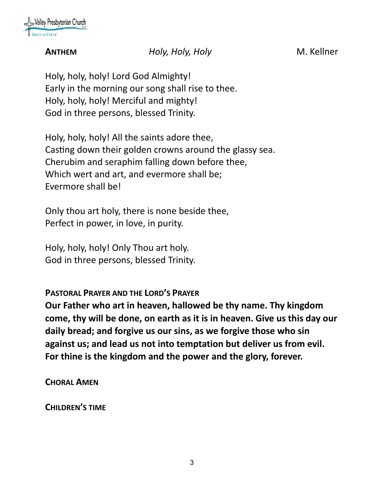

### **ANTHEM** *Holy, Holy, Holy* M. Kellner

Holy, holy, holy! Lord God Almighty! Early in the morning our song shall rise to thee. Holy, holy, holy! Merciful and mighty! God in three persons, blessed Trinity.

Holy, holy, holy! All the saints adore thee, Casting down their golden crowns around the glassy sea. Cherubim and seraphim falling down before thee, Which wert and art, and evermore shall be; Evermore shall be!

Only thou art holy, there is none beside thee, Perfect in power, in love, in purity.

Holy, holy, holy! Only Thou art holy. God in three persons, blessed Trinity.

**PASTORAL PRAYER AND THE LORD'S PRAYER**

**Our Father who art in heaven, hallowed be thy name. Thy kingdom come, thy will be done, on earth as it is in heaven. Give us this day our daily bread; and forgive us our sins, as we forgive those who sin against us; and lead us not into temptation but deliver us from evil. For thine is the kingdom and the power and the glory, forever.** 

**CHORAL AMEN**

**CHILDREN'S TIME**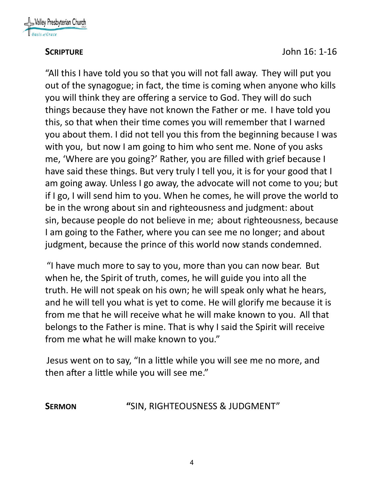

"All this I have told you so that you will not fall away. They will put you out of the synagogue; in fact, the time is coming when anyone who kills you will think they are offering a service to God. They will do such things because they have not known the Father or me. I have told you this, so that when their time comes you will remember that I warned you about them. I did not tell you this from the beginning because I was with you, but now I am going to him who sent me. None of you asks me, 'Where are you going?' Rather, you are filled with grief because I have said these things. But very truly I tell you, it is for your good that I am going away. Unless I go away, the advocate will not come to you; but if I go, I will send him to you. When he comes, he will prove the world to be in the wrong about sin and righteousness and judgment: about sin, because people do not believe in me; about righteousness, because I am going to the Father, where you can see me no longer; and about judgment, because the prince of this world now stands condemned.

"I have much more to say to you, more than you can now bear. But when he, the Spirit of truth, comes, he will guide you into all the truth. He will not speak on his own; he will speak only what he hears, and he will tell you what is yet to come. He will glorify me because it is from me that he will receive what he will make known to you. All that belongs to the Father is mine. That is why I said the Spirit will receive from me what he will make known to you."

Jesus went on to say, "In a little while you will see me no more, and then after a little while you will see me."

**SERMON "**SIN, RIGHTEOUSNESS & JUDGMENT"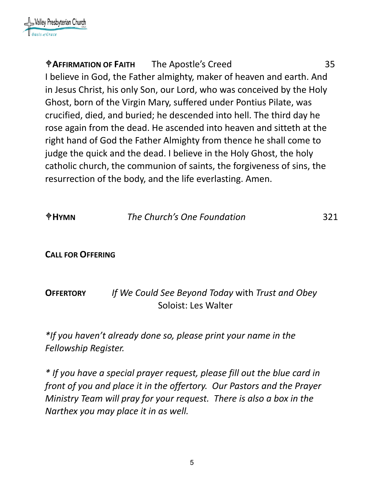# **AFFIRMATION OF FAITH** The Apostle's Creed 35 I believe in God, the Father almighty, maker of heaven and earth. And in Jesus Christ, his only Son, our Lord, who was conceived by the Holy Ghost, born of the Virgin Mary, suffered under Pontius Pilate, was crucified, died, and buried; he descended into hell. The third day he rose again from the dead. He ascended into heaven and sitteth at the right hand of God the Father Almighty from thence he shall come to judge the quick and the dead. I believe in the Holy Ghost, the holy catholic church, the communion of saints, the forgiveness of sins, the resurrection of the body, and the life everlasting. Amen.

| $\oplus$ HYMN            | The Church's One Foundation                                             | 321 |
|--------------------------|-------------------------------------------------------------------------|-----|
| <b>CALL FOR OFFERING</b> |                                                                         |     |
| <b>OFFERTORY</b>         | If We Could See Beyond Today with Trust and Obey<br>Soloist: Les Walter |     |

*\*If you haven't already done so, please print your name in the Fellowship Register.*

*\* If you have a special prayer request, please fill out the blue card in front of you and place it in the offertory. Our Pastors and the Prayer Ministry Team will pray for your request. There is also a box in the Narthex you may place it in as well.*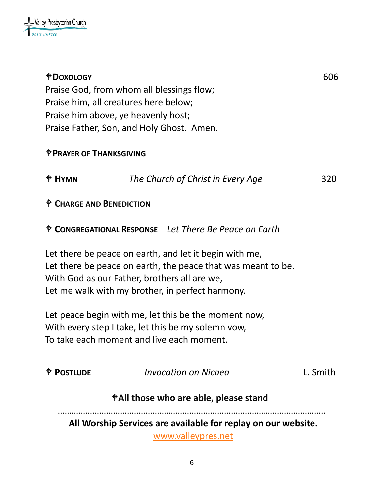

| <b><i><u>ODOXOLOGY</u></i></b>                                        |                                                                 | 606      |  |  |  |  |
|-----------------------------------------------------------------------|-----------------------------------------------------------------|----------|--|--|--|--|
| Praise God, from whom all blessings flow;                             |                                                                 |          |  |  |  |  |
|                                                                       | Praise him, all creatures here below;                           |          |  |  |  |  |
| Praise him above, ye heavenly host;                                   |                                                                 |          |  |  |  |  |
| Praise Father, Son, and Holy Ghost. Amen.                             |                                                                 |          |  |  |  |  |
| <b><i>T</i>PRAYER OF THANKSGIVING</b>                                 |                                                                 |          |  |  |  |  |
| $\oplus$ HYMN                                                         | The Church of Christ in Every Age                               | 320      |  |  |  |  |
| <sup><math>\textcolor{blue}{\Phi}</math></sup> CHARGE AND BENEDICTION |                                                                 |          |  |  |  |  |
|                                                                       | <sup></sup> CONGREGATIONAL RESPONSE Let There Be Peace on Earth |          |  |  |  |  |
|                                                                       | Let there be peace on earth, and let it begin with me,          |          |  |  |  |  |
|                                                                       | Let there be peace on earth, the peace that was meant to be.    |          |  |  |  |  |
|                                                                       | With God as our Father, brothers all are we,                    |          |  |  |  |  |
|                                                                       | Let me walk with my brother, in perfect harmony.                |          |  |  |  |  |
|                                                                       | Let peace begin with me, let this be the moment now,            |          |  |  |  |  |
| With every step I take, let this be my solemn vow,                    |                                                                 |          |  |  |  |  |
| To take each moment and live each moment.                             |                                                                 |          |  |  |  |  |
|                                                                       |                                                                 |          |  |  |  |  |
| <b>POSTLUDE</b>                                                       | Invocation on Nicaea                                            | L. Smith |  |  |  |  |
| †All those who are able, please stand                                 |                                                                 |          |  |  |  |  |
| All Worship Services are available for replay on our website.         |                                                                 |          |  |  |  |  |
| www.valleypres.net                                                    |                                                                 |          |  |  |  |  |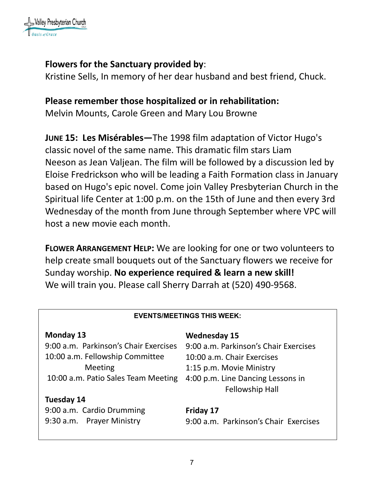

### **Flowers for the Sanctuary provided by**:

Kristine Sells, In memory of her dear husband and best friend, Chuck.

### **Please remember those hospitalized or in rehabilitation:**

Melvin Mounts, Carole Green and Mary Lou Browne

**JUNE 15: Les Misérables—**The 1998 film adaptation of Victor Hugo's classic novel of the same name. This dramatic film stars Liam Neeson as Jean Valjean. The film will be followed by a discussion led by Eloise Fredrickson who will be leading a Faith Formation class in January based on Hugo's epic novel. Come join Valley Presbyterian Church in the Spiritual life Center at 1:00 p.m. on the 15th of June and then every 3rd Wednesday of the month from June through September where VPC will host a new movie each month.

**FLOWER ARRANGEMENT HELP:** We are looking for one or two volunteers to help create small bouquets out of the Sanctuary flowers we receive for Sunday worship. **No experience required & learn a new skill!**  We will train you. Please call Sherry Darrah at (520) 490-9568.

| <b>EVENTS/MEETINGS THIS WEEK:</b>     |                                                             |  |  |  |  |
|---------------------------------------|-------------------------------------------------------------|--|--|--|--|
| Monday 13                             | <b>Wednesday 15</b>                                         |  |  |  |  |
| 9:00 a.m. Parkinson's Chair Exercises | 9:00 a.m. Parkinson's Chair Exercises                       |  |  |  |  |
| 10:00 a.m. Fellowship Committee       | 10:00 a.m. Chair Exercises                                  |  |  |  |  |
| Meeting                               | 1:15 p.m. Movie Ministry                                    |  |  |  |  |
| 10:00 a.m. Patio Sales Team Meeting   | 4:00 p.m. Line Dancing Lessons in<br><b>Fellowship Hall</b> |  |  |  |  |
| Tuesday 14                            |                                                             |  |  |  |  |
| 9:00 a.m. Cardio Drumming             | Friday 17                                                   |  |  |  |  |
| 9:30 a.m. Prayer Ministry             | 9:00 a.m. Parkinson's Chair Exercises                       |  |  |  |  |